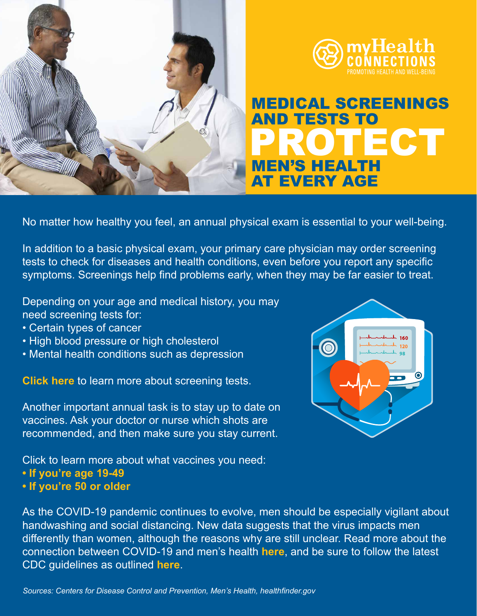



## TECT MEN'S HEALTH AT EVERY AGE MEDICAL SCREENINGS AND TESTS TO

No matter how healthy you feel, an annual physical exam is essential to your well-being.

In addition to a basic physical exam, your primary care physician may order screening tests to check for diseases and health conditions, even before you report any specific symptoms. Screenings help find problems early, when they may be far easier to treat.

Depending on your age and medical history, you may need screening tests for:

- Certain types of cancer
- High blood pressure or high cholesterol
- Mental health conditions such as depression

**Click here** to learn more about screening tests.

Another important annual task is to stay up to date on vaccines. Ask your doctor or nurse which shots are recommended, and then make sure you stay current.

Click to learn more about what vaccines you need:

- **If you're age 19-49**
- **If you're 50 or older**

As the COVID-19 pandemic continues to evolve, men should be especially vigilant about handwashing and social distancing. New data suggests that the virus impacts men differently than women, although the reasons why are still unclear. Read more about the connection between COVID-19 and men's health **here**, and be sure to follow the latest CDC guidelines as outlined **here**.